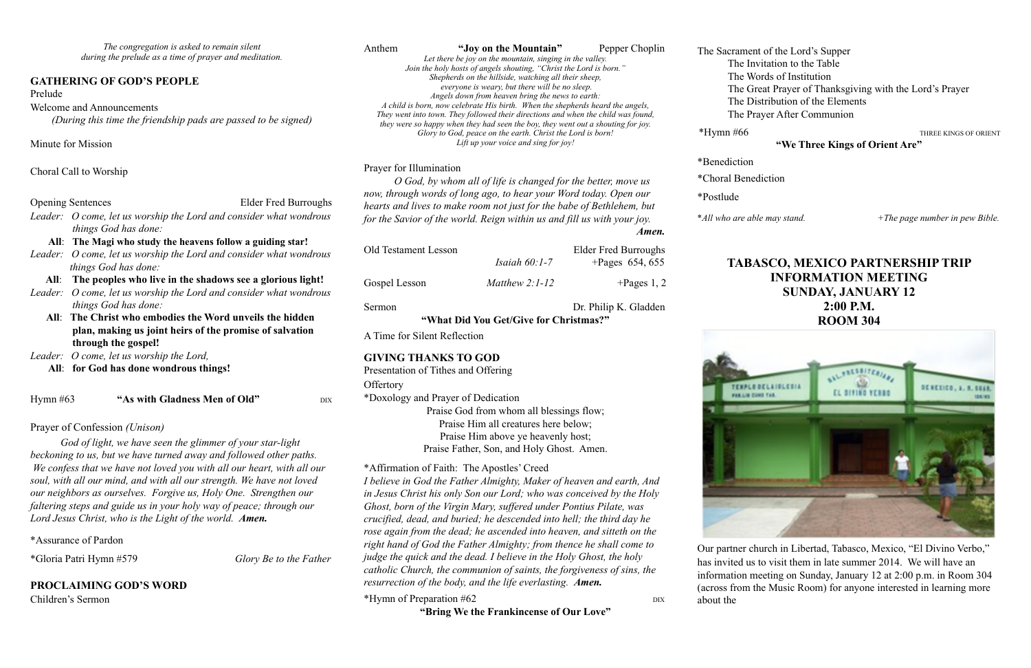*The congregation is asked to remain silent during the prelude as a time of prayer and meditation.*

#### **GATHERING OF GOD'S PEOPLE**

#### Prelude

#### Welcome and Announcements

*(During this time the friendship pads are passed to be signed)* 

Minute for Mission

Choral Call to Worship

| <b>Opening Sentences</b> |                             | <b>Elder Fred Burroughs</b>                                        |
|--------------------------|-----------------------------|--------------------------------------------------------------------|
|                          |                             | Leader: O come, let us worship the Lord and consider what wondrous |
|                          | <i>things God has done:</i> |                                                                    |

#### **All**: **The Magi who study the heavens follow a guiding star!**

*Leader: O come, let us worship the Lord and consider what wondrous things God has done:*

#### **All**: **The peoples who live in the shadows see a glorious light!**

- *Leader: O come, let us worship the Lord and consider what wondrous things God has done:* 
	- **All**: **The Christ who embodies the Word unveils the hidden plan, making us joint heirs of the promise of salvation through the gospel!**
- *Leader: O come, let us worship the Lord,*
	- **All**: **for God has done wondrous things!**

Hymn #63 **"As with Gladness Men of Old"** DIX

Prayer of Confession *(Unison)*

*God of light, we have seen the glimmer of your star-light beckoning to us, but we have turned away and followed other paths. We confess that we have not loved you with all our heart, with all our soul, with all our mind, and with all our strength. We have not loved our neighbors as ourselves. Forgive us, Holy One. Strengthen our faltering steps and guide us in your holy way of peace; through our Lord Jesus Christ, who is the Light of the world. Amen.*

\*Assurance of Pardon

\*Gloria Patri Hymn #579 *Glory Be to the Father*

## **PROCLAIMING GOD'S WORD**

Children's Sermon

Anthem **"Joy on the Mountain"** Pepper Choplin *Let there be joy on the mountain, singing in the valley. Join the holy hosts of angels shouting, "Christ the Lord is born." Shepherds on the hillside, watching all their sheep, everyone is weary, but there will be no sleep. Angels down from heaven bring the news to earth: A child is born, now celebrate His birth. When the shepherds heard the angels, They went into town. They followed their directions and when the child was found, they were so happy when they had seen the boy, they went out a shouting for joy. Glory to God, peace on the earth. Christ the Lord is born! Lift up your voice and sing for joy!*  \*Benediction

#### Prayer for Illumination

Old Testament Lesson

*O God, by whom all of life is changed for the better, move us now, through words of long ago, to hear your Word today. Open our hearts and lives to make room not just for the babe of Bethlehem, but for the Savior of the world. Reign within us and fill us with your joy. Amen.*

|                 | <b>Elder Fred Burroughs</b> |
|-----------------|-----------------------------|
| Isaiah $60:1-7$ | +Pages $654, 655$           |

Gospel Lesson *Matthew 2:1-12* +Pages 1, 2

**"What Did You Get/Give for Christmas?"** 

A Time for Silent Reflection

## **GIVING THANKS TO GOD**

Presentation of Tithes and Offering **Offertory** \*Doxology and Prayer of Dedication Praise God from whom all blessings flow; Praise Him all creatures here below;

Praise Him above ye heavenly host; Praise Father, Son, and Holy Ghost. Amen.

### \*Affirmation of Faith: The Apostles' Creed

*I believe in God the Father Almighty, Maker of heaven and earth, And in Jesus Christ his only Son our Lord; who was conceived by the Holy Ghost, born of the Virgin Mary, suffered under Pontius Pilate, was crucified, dead, and buried; he descended into hell; the third day he rose again from the dead; he ascended into heaven, and sitteth on the right hand of God the Father Almighty; from thence he shall come to judge the quick and the dead. I believe in the Holy Ghost, the holy catholic Church, the communion of saints, the forgiveness of sins, the resurrection of the body, and the life everlasting. Amen.*

\*Hymn of Preparation #62 DIX

Sermon Dr. Philip K. Gladden





**"Bring We the Frankincense of Our Love"**

The Sacrament of the Lord's Supper The Invitation to the Table The Words of Institution The Great Prayer of Thanksgiving with the Lord's Prayer The Distribution of the Elements The Prayer After Communion

\*Hymn #66 THREE KINGS OF ORIENT

#### **"We Three Kings of Orient Are"**

\*Choral Benediction

\**All who are able may stand.*  $+The \ page \ number in \ new \ Bible.$ 

\*Postlude

## **TABASCO, MEXICO PARTNERSHIP TRIP INFORMATION MEETING SUNDAY, JANUARY 12 2:00 P.M. ROOM 304**



Our partner church in Libertad, Tabasco, Mexico, "El Divino Verbo," has invited us to visit them in late summer 2014. We will have an information meeting on Sunday, January 12 at 2:00 p.m. in Room 304 (across from the Music Room) for anyone interested in learning more about the